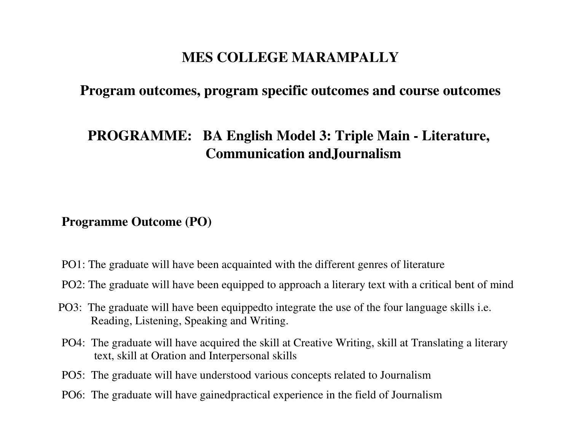# **MES COLLEGE MARAMPALLY**

## **Program outcomes, program specific outcomes and course outcomes**

# **PROGRAMME: BA English Model 3: Triple Main - Literature,Communication andJournalism**

#### **Programme Outcome (PO)**

- PO1: The graduate will have been acquainted with the different genres of literature
- PO2: The graduate will have been equipped to approach a literary text with a critical bent of mind
- PO3: The graduate will have been equippedto integrate the use of the four language skills i.e. Reading, Listening, Speaking and Writing.
- PO4: The graduate will have acquired the skill at Creative Writing, skill at Translating a literary text, skill at Oration and Interpersonal skills
- PO5: The graduate will have understood various concepts related to Journalism
- PO6: The graduate will have gainedpractical experience in the field of Journalism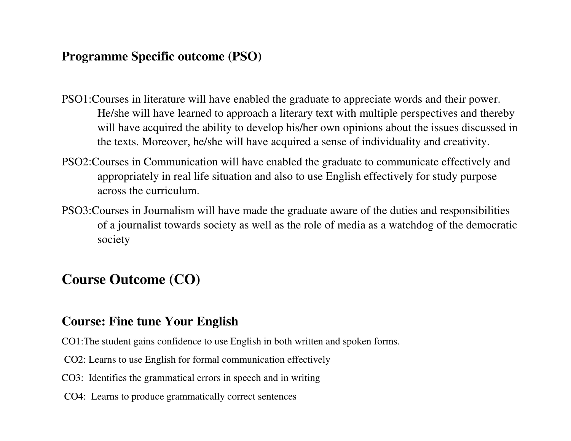## **Programme Specific outcome (PSO)**

- PSO1:Courses in literature will have enabled the graduate to appreciate words and their power. He/she will have learned to approach a literary text with multiple perspectives and thereby will have acquired the ability to develop his/her own opinions about the issues discussed in the texts. Moreover, he/she will have acquired a sense of individuality and creativity.
- PSO2:Courses in Communication will have enabled the graduate to communicate effectively and appropriately in real life situation and also to use English effectively for study purpose across the curriculum.
- PSO3:Courses in Journalism will have made the graduate aware of the duties and responsibilities of a journalist towards society as well as the role of media as a watchdog of the democratic society

# **Course Outcome (CO)**

## **Course: Fine tune Your English**

- CO1:The student gains confidence to use English in both written and spoken forms.
- CO2: Learns to use English for formal communication effectively
- CO3: Identifies the grammatical errors in speech and in writing
- CO4: Learns to produce grammatically correct sentences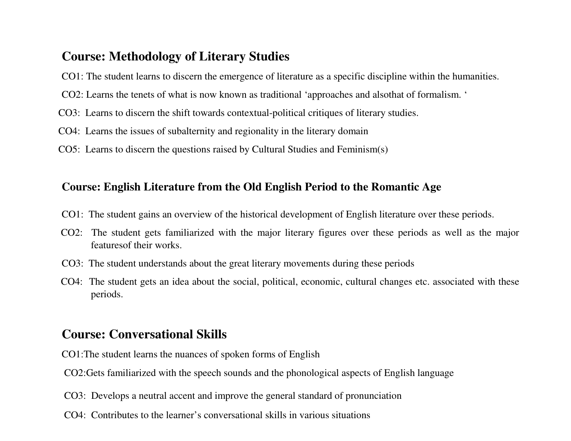## **Course: Methodology of Literary Studies**

- CO1: The student learns to discern the emergence of literature as a specific discipline within the humanities.
- CO2: Learns the tenets of what is now known as traditional 'approaches and alsothat of formalism. '
- CO3: Learns to discern the shift towards contextual-political critiques of literary studies.
- CO4: Learns the issues of subalternity and regionality in the literary domain
- CO5: Learns to discern the questions raised by Cultural Studies and Feminism(s)

#### **Course: English Literature from the Old English Period to the Romantic Age**

- CO1: The student gains an overview of the historical development of English literature over these periods.
- CO2: The student gets familiarized with the major literary figures over these periods as well as the major featuresof their works.
- CO3: The student understands about the great literary movements during these periods
- CO4: The student gets an idea about the social, political, economic, cultural changes etc. associated with these periods.

## **Course: Conversational Skills**

- CO1:The student learns the nuances of spoken forms of English
- CO2:Gets familiarized with the speech sounds and the phonological aspects of English language
- CO3: Develops a neutral accent and improve the general standard of pronunciation
- CO4: Contributes to the learner's conversational skills in various situations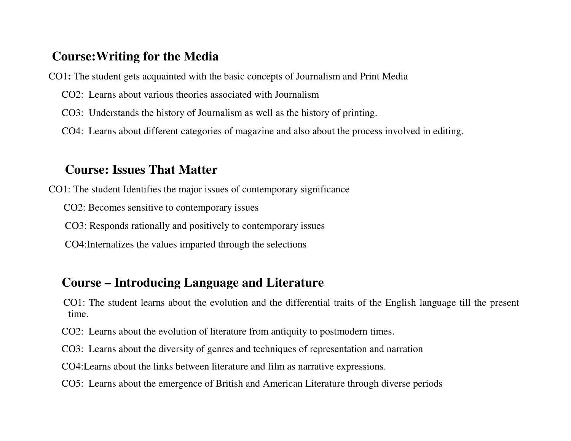## **Course:Writing for the Media**

- CO1**:** The student gets acquainted with the basic concepts of Journalism and Print Media
	- CO2: Learns about various theories associated with Journalism
	- CO3: Understands the history of Journalism as well as the history of printing.
	- CO4: Learns about different categories of magazine and also about the process involved in editing.

## **Course: Issues That Matter**

CO1: The student Identifies the major issues of contemporary significance

CO2: Becomes sensitive to contemporary issues

CO3: Responds rationally and positively to contemporary issues

CO4:Internalizes the values imparted through the selections

## **Course – Introducing Language and Literature**

 CO1: The student learns about the evolution and the differential traits of the English language till the present time.

CO2: Learns about the evolution of literature from antiquity to postmodern times.

CO3: Learns about the diversity of genres and techniques of representation and narration

CO4:Learns about the links between literature and film as narrative expressions.

CO5: Learns about the emergence of British and American Literature through diverse periods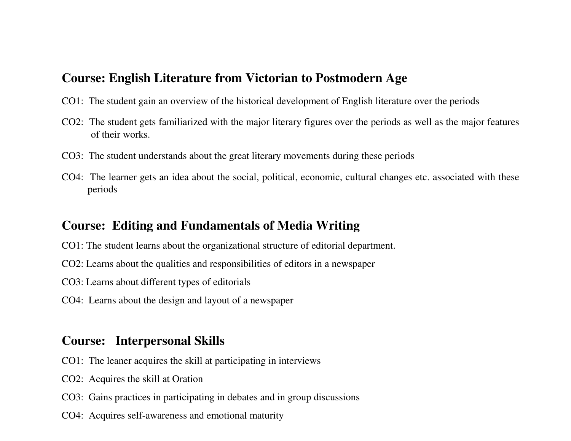#### **Course: English Literature from Victorian to Postmodern Age**

- CO1: The student gain an overview of the historical development of English literature over the periods
- CO2: The student gets familiarized with the major literary figures over the periods as well as the major features of their works.
- CO3: The student understands about the great literary movements during these periods
- CO4: The learner gets an idea about the social, political, economic, cultural changes etc. associated with these periods

### **Course: Editing and Fundamentals of Media Writing**

- CO1: The student learns about the organizational structure of editorial department.
- CO2: Learns about the qualities and responsibilities of editors in a newspaper
- CO3: Learns about different types of editorials
- CO4: Learns about the design and layout of a newspaper

## **Course: Interpersonal Skills**

- CO1: The leaner acquires the skill at participating in interviews
- CO2: Acquires the skill at Oration
- CO3: Gains practices in participating in debates and in group discussions
- CO4: Acquires self-awareness and emotional maturity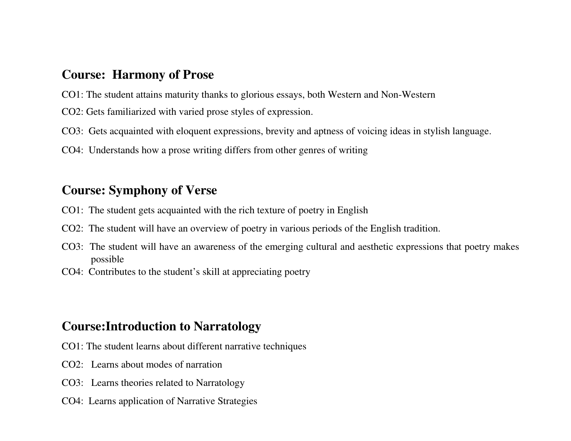#### **Course: Harmony of Prose**

- CO1: The student attains maturity thanks to glorious essays, both Western and Non-Western
- CO2: Gets familiarized with varied prose styles of expression.
- CO3: Gets acquainted with eloquent expressions, brevity and aptness of voicing ideas in stylish language.
- CO4: Understands how a prose writing differs from other genres of writing

## **Course: Symphony of Verse**

- CO1: The student gets acquainted with the rich texture of poetry in English
- CO2: The student will have an overview of poetry in various periods of the English tradition.
- CO3: The student will have an awareness of the emerging cultural and aesthetic expressions that poetry makes possible
- CO4: Contributes to the student's skill at appreciating poetry

## **Course:Introduction to Narratology**

- CO1: The student learns about different narrative techniques
- CO2: Learns about modes of narration
- CO3: Learns theories related to Narratology
- CO4: Learns application of Narrative Strategies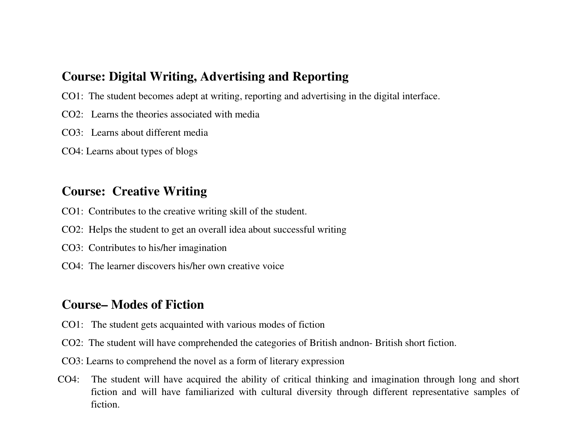#### **Course: Digital Writing, Advertising and Reporting**

- CO1: The student becomes adept at writing, reporting and advertising in the digital interface.
- CO2: Learns the theories associated with media
- CO3: Learns about different media
- CO4: Learns about types of blogs

## **Course: Creative Writing**

- CO1: Contributes to the creative writing skill of the student.
- CO2: Helps the student to get an overall idea about successful writing
- CO3: Contributes to his/her imagination
- CO4: The learner discovers his/her own creative voice

# **Course– Modes of Fiction**

- CO1: The student gets acquainted with various modes of fiction
- CO2: The student will have comprehended the categories of British andnon- British short fiction.
- CO3: Learns to comprehend the novel as a form of literary expression
- CO4: The student will have acquired the ability of critical thinking and imagination through long and short fiction and will have familiarized with cultural diversity through different representative samples offiction.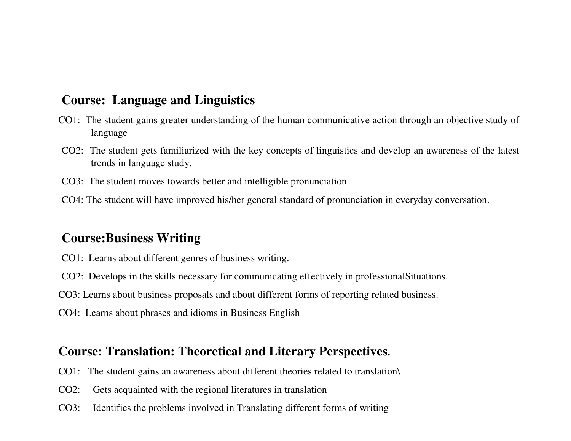#### **Course: Language and Linguistics**

- CO1: The student gains greater understanding of the human communicative action through an objective study of language
- CO2: The student gets familiarized with the key concepts of linguistics and develop an awareness of the latest trends in language study.
- CO3: The student moves towards better and intelligible pronunciation
- CO4: The student will have improved his/her general standard of pronunciation in everyday conversation.

### **Course:Business Writing**

- CO1: Learns about different genres of business writing.
- CO2: Develops in the skills necessary for communicating effectively in professionalSituations.
- CO3: Learns about business proposals and about different forms of reporting related business.
- CO4: Learns about phrases and idioms in Business English

#### **Course: Translation: Theoretical and Literary Perspectives.**

- CO1: The student gains an awareness about different theories related to translation\
- CO2: Gets acquainted with the regional literatures in translation
- CO3: Identifies the problems involved in Translating different forms of writing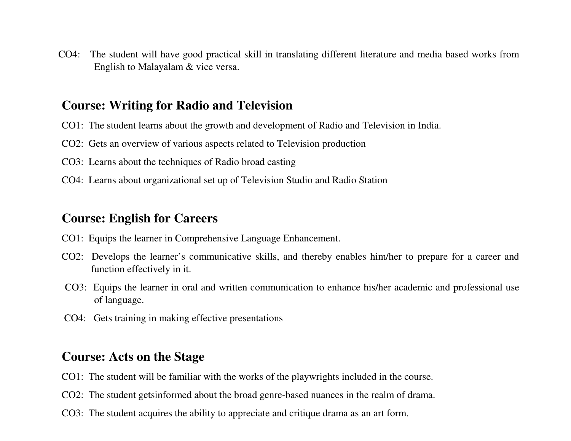CO4: The student will have good practical skill in translating different literature and media based works from English to Malayalam & vice versa.

#### **Course: Writing for Radio and Television**

- CO1: The student learns about the growth and development of Radio and Television in India.
- CO2: Gets an overview of various aspects related to Television production
- CO3: Learns about the techniques of Radio broad casting
- CO4: Learns about organizational set up of Television Studio and Radio Station

## **Course: English for Careers**

- CO1: Equips the learner in Comprehensive Language Enhancement.
- CO2: Develops the learner's communicative skills, and thereby enables him/her to prepare for a career and function effectively in it.
- CO3: Equips the learner in oral and written communication to enhance his/her academic and professional use of language.
- CO4: Gets training in making effective presentations

## **Course: Acts on the Stage**

- CO1: The student will be familiar with the works of the playwrights included in the course.
- CO2: The student getsinformed about the broad genre-based nuances in the realm of drama.
- CO3: The student acquires the ability to appreciate and critique drama as an art form.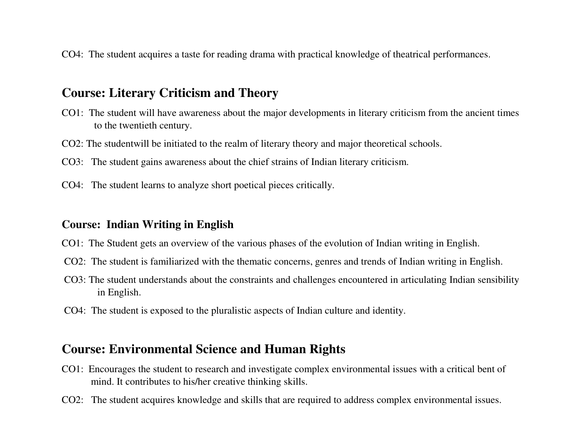CO4: The student acquires a taste for reading drama with practical knowledge of theatrical performances.

#### **Course: Literary Criticism and Theory**

- CO1: The student will have awareness about the major developments in literary criticism from the ancient times to the twentieth century.
- CO2: The studentwill be initiated to the realm of literary theory and major theoretical schools.
- CO3: The student gains awareness about the chief strains of Indian literary criticism.
- CO4: The student learns to analyze short poetical pieces critically.

#### **Course: Indian Writing in English**

- CO1: The Student gets an overview of the various phases of the evolution of Indian writing in English.
- CO2: The student is familiarized with the thematic concerns, genres and trends of Indian writing in English.
- CO3: The student understands about the constraints and challenges encountered in articulating Indian sensibility in English.
- CO4: The student is exposed to the pluralistic aspects of Indian culture and identity.

#### **Course: Environmental Science and Human Rights**

- CO1: Encourages the student to research and investigate complex environmental issues with a critical bent of mind. It contributes to his/her creative thinking skills.
- CO2: The student acquires knowledge and skills that are required to address complex environmental issues.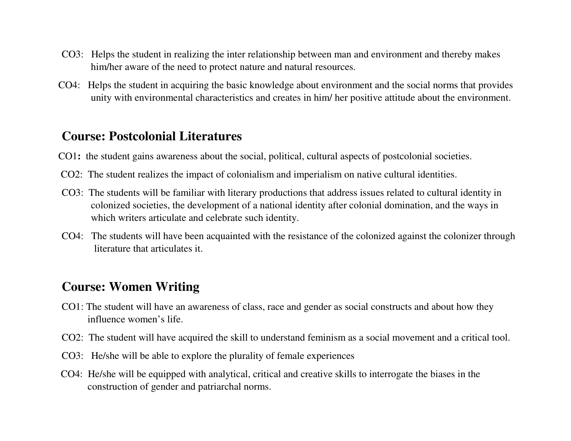- CO3: Helps the student in realizing the inter relationship between man and environment and thereby makes him/her aware of the need to protect nature and natural resources.
- CO4: Helps the student in acquiring the basic knowledge about environment and the social norms that provides unity with environmental characteristics and creates in him/ her positive attitude about the environment.

#### **Course: Postcolonial Literatures**

- CO1**:** the student gains awareness about the social, political, cultural aspects of postcolonial societies.
- CO2: The student realizes the impact of colonialism and imperialism on native cultural identities.
- CO3: The students will be familiar with literary productions that address issues related to cultural identity in colonized societies, the development of a national identity after colonial domination, and the ways inwhich writers articulate and celebrate such identity.
- CO4: The students will have been acquainted with the resistance of the colonized against the colonizer through literature that articulates it.

## **Course: Women Writing**

- CO1: The student will have an awareness of class, race and gender as social constructs and about how they influence women's life.
- CO2: The student will have acquired the skill to understand feminism as a social movement and a critical tool.
- CO3: He/she will be able to explore the plurality of female experiences
- CO4: He/she will be equipped with analytical, critical and creative skills to interrogate the biases in the construction of gender and patriarchal norms.